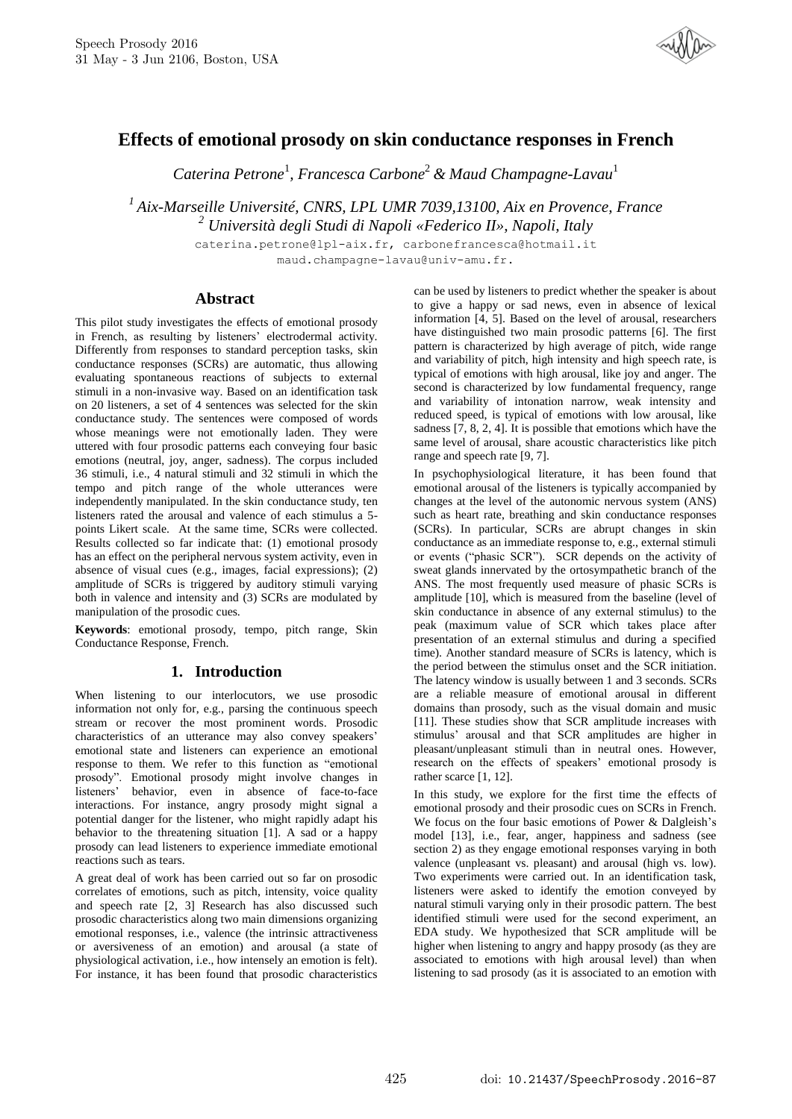

# **Effects of emotional prosody on skin conductance responses in French**

*Caterina Petrone*<sup>1</sup> *, Francesca Carbone*<sup>2</sup>*& Maud Champagne-Lavau*<sup>1</sup>

*<sup>1</sup>Aix-Marseille Université, CNRS, LPL UMR 7039,13100, Aix en Provence, France <sup>2</sup> Università degli Studi di Napoli «Federico II», Napoli, Italy*

> caterina.petrone@lpl-aix.fr, carbonefrancesca@hotmail.it maud.champagne-lavau@univ-amu.fr.

### **Abstract**

This pilot study investigates the effects of emotional prosody in French, as resulting by listeners' electrodermal activity. Differently from responses to standard perception tasks, skin conductance responses (SCRs) are automatic, thus allowing evaluating spontaneous reactions of subjects to external stimuli in a non-invasive way. Based on an identification task on 20 listeners, a set of 4 sentences was selected for the skin conductance study. The sentences were composed of words whose meanings were not emotionally laden. They were uttered with four prosodic patterns each conveying four basic emotions (neutral, joy, anger, sadness). The corpus included 36 stimuli, i.e., 4 natural stimuli and 32 stimuli in which the tempo and pitch range of the whole utterances were independently manipulated. In the skin conductance study, ten listeners rated the arousal and valence of each stimulus a 5 points Likert scale. At the same time, SCRs were collected. Results collected so far indicate that: (1) emotional prosody has an effect on the peripheral nervous system activity, even in absence of visual cues (e.g., images, facial expressions); (2) amplitude of SCRs is triggered by auditory stimuli varying both in valence and intensity and (3) SCRs are modulated by manipulation of the prosodic cues.

**Keywords**: emotional prosody, tempo, pitch range, Skin Conductance Response, French.

# **1. Introduction**

When listening to our interlocutors, we use prosodic information not only for, e.g., parsing the continuous speech stream or recover the most prominent words. Prosodic characteristics of an utterance may also convey speakers' emotional state and listeners can experience an emotional response to them. We refer to this function as "emotional prosody". Emotional prosody might involve changes in listeners' behavior, even in absence of face-to-face interactions. For instance, angry prosody might signal a potential danger for the listener, who might rapidly adapt his behavior to the threatening situation [1]. A sad or a happy prosody can lead listeners to experience immediate emotional reactions such as tears.

A great deal of work has been carried out so far on prosodic correlates of emotions, such as pitch, intensity, voice quality and speech rate [2, 3] Research has also discussed such prosodic characteristics along two main dimensions organizing emotional responses, i.e., valence (the intrinsic attractiveness or aversiveness of an emotion) and arousal (a state of physiological activation, i.e., how intensely an emotion is felt). For instance, it has been found that prosodic characteristics can be used by listeners to predict whether the speaker is about to give a happy or sad news, even in absence of lexical information [4, 5]. Based on the level of arousal, researchers have distinguished two main prosodic patterns [6]. The first pattern is characterized by high average of pitch, wide range and variability of pitch, high intensity and high speech rate, is typical of emotions with high arousal, like joy and anger. The second is characterized by low fundamental frequency, range and variability of intonation narrow, weak intensity and reduced speed, is typical of emotions with low arousal, like sadness  $[7, 8, 2, 4]$ . It is possible that emotions which have the same level of arousal, share acoustic characteristics like pitch range and speech rate [9, 7].

In psychophysiological literature, it has been found that emotional arousal of the listeners is typically accompanied by changes at the level of the autonomic nervous system (ANS) such as heart rate, breathing and skin conductance responses (SCRs). In particular, SCRs are abrupt changes in skin conductance as an immediate response to, e.g., external stimuli or events ("phasic SCR"). SCR depends on the activity of sweat glands innervated by the ortosympathetic branch of the ANS. The most frequently used measure of phasic SCRs is amplitude [10], which is measured from the baseline (level of skin conductance in absence of any external stimulus) to the peak (maximum value of SCR which takes place after presentation of an external stimulus and during a specified time). Another standard measure of SCRs is latency, which is the period between the stimulus onset and the SCR initiation. The latency window is usually between 1 and 3 seconds. SCRs are a reliable measure of emotional arousal in different domains than prosody, such as the visual domain and music [11]. These studies show that SCR amplitude increases with stimulus' arousal and that SCR amplitudes are higher in pleasant/unpleasant stimuli than in neutral ones. However, research on the effects of speakers' emotional prosody is rather scarce [1, 12].

In this study, we explore for the first time the effects of emotional prosody and their prosodic cues on SCRs in French. We focus on the four basic emotions of Power & Dalgleish's model [13], i.e., fear, anger, happiness and sadness (see section 2) as they engage emotional responses varying in both valence (unpleasant vs. pleasant) and arousal (high vs. low). Two experiments were carried out. In an identification task, listeners were asked to identify the emotion conveyed by natural stimuli varying only in their prosodic pattern. The best identified stimuli were used for the second experiment, an EDA study. We hypothesized that SCR amplitude will be higher when listening to angry and happy prosody (as they are associated to emotions with high arousal level) than when listening to sad prosody (as it is associated to an emotion with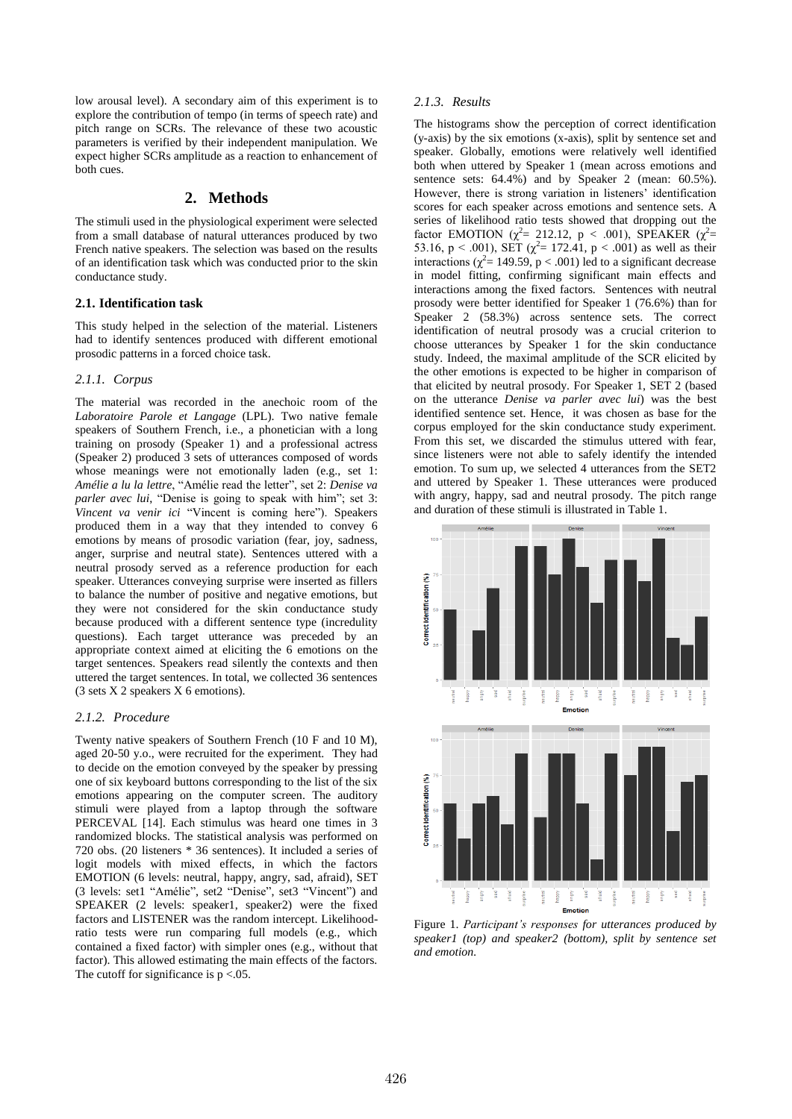low arousal level). A secondary aim of this experiment is to explore the contribution of tempo (in terms of speech rate) and pitch range on SCRs. The relevance of these two acoustic parameters is verified by their independent manipulation. We expect higher SCRs amplitude as a reaction to enhancement of both cues.

# **2. Methods**

The stimuli used in the physiological experiment were selected from a small database of natural utterances produced by two French native speakers. The selection was based on the results of an identification task which was conducted prior to the skin conductance study.

#### **2.1. Identification task**

This study helped in the selection of the material. Listeners had to identify sentences produced with different emotional prosodic patterns in a forced choice task.

#### *2.1.1. Corpus*

The material was recorded in the anechoic room of the *Laboratoire Parole et Langage* (LPL). Two native female speakers of Southern French, i.e., a phonetician with a long training on prosody (Speaker 1) and a professional actress (Speaker 2) produced 3 sets of utterances composed of words whose meanings were not emotionally laden (e.g., set 1: *Amélie a lu la lettre*, "Amélie read the letter", set 2: *Denise va parler avec lui*, "Denise is going to speak with him"; set 3: *Vincent va venir ici* "Vincent is coming here"). Speakers produced them in a way that they intended to convey 6 emotions by means of prosodic variation (fear, joy, sadness, anger, surprise and neutral state). Sentences uttered with a neutral prosody served as a reference production for each speaker. Utterances conveying surprise were inserted as fillers to balance the number of positive and negative emotions, but they were not considered for the skin conductance study because produced with a different sentence type (incredulity questions). Each target utterance was preceded by an appropriate context aimed at eliciting the 6 emotions on the target sentences. Speakers read silently the contexts and then uttered the target sentences. In total, we collected 36 sentences (3 sets X 2 speakers X 6 emotions).

## *2.1.2. Procedure*

Twenty native speakers of Southern French (10 F and 10 M), aged 20-50 y.o., were recruited for the experiment. They had to decide on the emotion conveyed by the speaker by pressing one of six keyboard buttons corresponding to the list of the six emotions appearing on the computer screen. The auditory stimuli were played from a laptop through the software PERCEVAL [14]. Each stimulus was heard one times in 3 randomized blocks. The statistical analysis was performed on 720 obs. (20 listeners \* 36 sentences). It included a series of logit models with mixed effects, in which the factors EMOTION (6 levels: neutral, happy, angry, sad, afraid), SET (3 levels: set1 "Amélie", set2 "Denise", set3 "Vincent") and SPEAKER (2 levels: speaker1, speaker2) were the fixed factors and LISTENER was the random intercept. Likelihoodratio tests were run comparing full models (e.g., which contained a fixed factor) with simpler ones (e.g., without that factor). This allowed estimating the main effects of the factors. The cutoff for significance is  $p < 0.05$ .

### *2.1.3. Results*

The histograms show the perception of correct identification (y-axis) by the six emotions (x-axis), split by sentence set and speaker. Globally, emotions were relatively well identified both when uttered by Speaker 1 (mean across emotions and sentence sets:  $64.4\%$ ) and by Speaker 2 (mean:  $60.5\%$ ). However, there is strong variation in listeners' identification scores for each speaker across emotions and sentence sets. A series of likelihood ratio tests showed that dropping out the factor EMOTION ( $\chi^2$ = 212.12, p < .001), SPEAKER ( $\chi^2$ = 53.16, p < .001), SET ( $\chi^2$  = 172.41, p < .001) as well as their interactions ( $\chi^2$  = 149.59, p < .001) led to a significant decrease in model fitting, confirming significant main effects and interactions among the fixed factors. Sentences with neutral prosody were better identified for Speaker 1 (76.6%) than for Speaker 2 (58.3%) across sentence sets. The correct identification of neutral prosody was a crucial criterion to choose utterances by Speaker 1 for the skin conductance study. Indeed, the maximal amplitude of the SCR elicited by the other emotions is expected to be higher in comparison of that elicited by neutral prosody. For Speaker 1, SET 2 (based on the utterance *Denise va parler avec lui*) was the best identified sentence set. Hence, it was chosen as base for the corpus employed for the skin conductance study experiment. From this set, we discarded the stimulus uttered with fear, since listeners were not able to safely identify the intended emotion. To sum up, we selected 4 utterances from the SET2 and uttered by Speaker 1. These utterances were produced with angry, happy, sad and neutral prosody. The pitch range and duration of these stimuli is illustrated in Table 1.



Figure 1. *Participant's responses for utterances produced by speaker1 (top) and speaker2 (bottom), split by sentence set and emotion.*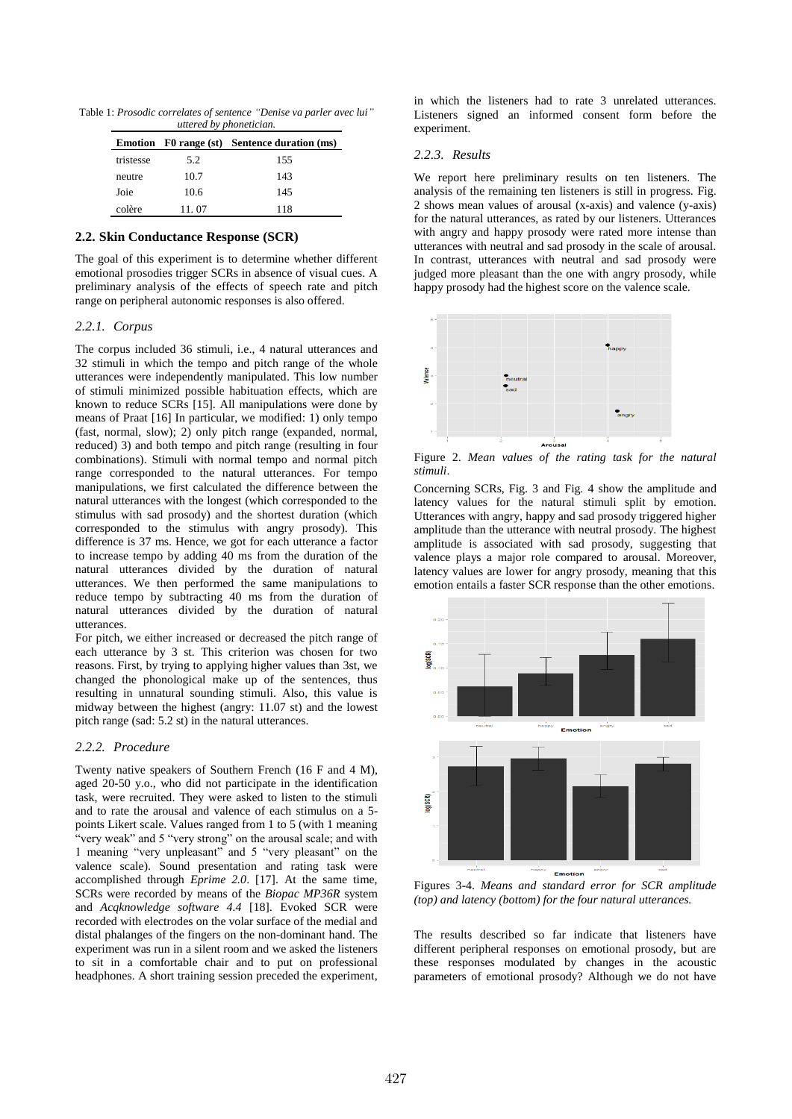Table 1: *Prosodic correlates of sentence "Denise va parler avec lui" uttered by phonetician.*

|           |       | Emotion F0 range (st) Sentence duration (ms) |
|-----------|-------|----------------------------------------------|
| tristesse | 5.2   | 155                                          |
| neutre    | 10.7  | 143                                          |
| Joie      | 10.6  | 145                                          |
| colère    | 11.07 | 118                                          |

#### **2.2. Skin Conductance Response (SCR)**

The goal of this experiment is to determine whether different emotional prosodies trigger SCRs in absence of visual cues. A preliminary analysis of the effects of speech rate and pitch range on peripheral autonomic responses is also offered.

### *2.2.1. Corpus*

The corpus included 36 stimuli, i.e., 4 natural utterances and 32 stimuli in which the tempo and pitch range of the whole utterances were independently manipulated. This low number of stimuli minimized possible habituation effects, which are known to reduce SCRs [15]. All manipulations were done by means of Praat [16] In particular, we modified: 1) only tempo (fast, normal, slow); 2) only pitch range (expanded, normal, reduced) 3) and both tempo and pitch range (resulting in four combinations). Stimuli with normal tempo and normal pitch range corresponded to the natural utterances. For tempo manipulations, we first calculated the difference between the natural utterances with the longest (which corresponded to the stimulus with sad prosody) and the shortest duration (which corresponded to the stimulus with angry prosody). This difference is 37 ms. Hence, we got for each utterance a factor to increase tempo by adding 40 ms from the duration of the natural utterances divided by the duration of natural utterances. We then performed the same manipulations to reduce tempo by subtracting 40 ms from the duration of natural utterances divided by the duration of natural utterances.

For pitch, we either increased or decreased the pitch range of each utterance by 3 st. This criterion was chosen for two reasons. First, by trying to applying higher values than 3st, we changed the phonological make up of the sentences, thus resulting in unnatural sounding stimuli. Also, this value is midway between the highest (angry: 11.07 st) and the lowest pitch range (sad: 5.2 st) in the natural utterances.

# *2.2.2. Procedure*

Twenty native speakers of Southern French (16 F and 4 M), aged 20-50 y.o., who did not participate in the identification task, were recruited. They were asked to listen to the stimuli and to rate the arousal and valence of each stimulus on a 5 points Likert scale. Values ranged from 1 to 5 (with 1 meaning "very weak" and 5 "very strong" on the arousal scale; and with 1 meaning "very unpleasant" and 5 "very pleasant" on the valence scale). Sound presentation and rating task were accomplished through *Eprime 2.0*. [17]. At the same time, SCRs were recorded by means of the *Biopac MP36R* system and *Acqknowledge software 4.4* [18]. Evoked SCR were recorded with electrodes on the volar surface of the medial and distal phalanges of the fingers on the non-dominant hand. The experiment was run in a silent room and we asked the listeners to sit in a comfortable chair and to put on professional headphones. A short training session preceded the experiment, in which the listeners had to rate 3 unrelated utterances. Listeners signed an informed consent form before the experiment.

#### *2.2.3. Results*

We report here preliminary results on ten listeners. The analysis of the remaining ten listeners is still in progress. Fig. 2 shows mean values of arousal (x-axis) and valence (y-axis) for the natural utterances, as rated by our listeners. Utterances with angry and happy prosody were rated more intense than utterances with neutral and sad prosody in the scale of arousal. In contrast, utterances with neutral and sad prosody were judged more pleasant than the one with angry prosody, while happy prosody had the highest score on the valence scale.



Figure 2. *Mean values of the rating task for the natural stimuli*.

Concerning SCRs, Fig. 3 and Fig. 4 show the amplitude and latency values for the natural stimuli split by emotion. Utterances with angry, happy and sad prosody triggered higher amplitude than the utterance with neutral prosody. The highest amplitude is associated with sad prosody, suggesting that valence plays a major role compared to arousal. Moreover, latency values are lower for angry prosody, meaning that this emotion entails a faster SCR response than the other emotions.



Figures 3-4. *Means and standard error for SCR amplitude (top) and latency (bottom) for the four natural utterances.*

The results described so far indicate that listeners have different peripheral responses on emotional prosody, but are these responses modulated by changes in the acoustic parameters of emotional prosody? Although we do not have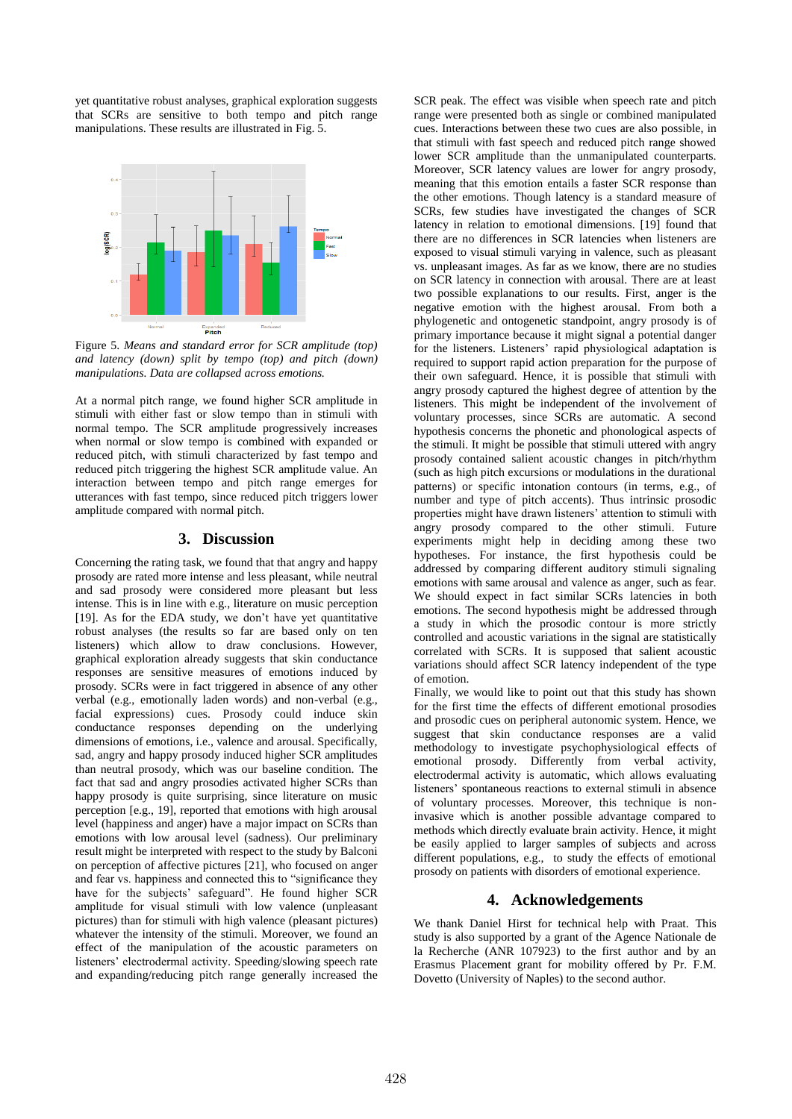yet quantitative robust analyses, graphical exploration suggests that SCRs are sensitive to both tempo and pitch range manipulations. These results are illustrated in Fig. 5.



Figure 5. *Means and standard error for SCR amplitude (top) and latency (down) split by tempo (top) and pitch (down) manipulations. Data are collapsed across emotions.*

At a normal pitch range, we found higher SCR amplitude in stimuli with either fast or slow tempo than in stimuli with normal tempo. The SCR amplitude progressively increases when normal or slow tempo is combined with expanded or reduced pitch, with stimuli characterized by fast tempo and reduced pitch triggering the highest SCR amplitude value. An interaction between tempo and pitch range emerges for utterances with fast tempo, since reduced pitch triggers lower amplitude compared with normal pitch.

### **3. Discussion**

Concerning the rating task, we found that that angry and happy prosody are rated more intense and less pleasant, while neutral and sad prosody were considered more pleasant but less intense. This is in line with e.g., literature on music perception [19]. As for the EDA study, we don't have yet quantitative robust analyses (the results so far are based only on ten listeners) which allow to draw conclusions. However, graphical exploration already suggests that skin conductance responses are sensitive measures of emotions induced by prosody. SCRs were in fact triggered in absence of any other verbal (e.g., emotionally laden words) and non-verbal (e.g., facial expressions) cues. Prosody could induce skin conductance responses depending on the underlying dimensions of emotions, i.e., valence and arousal. Specifically, sad, angry and happy prosody induced higher SCR amplitudes than neutral prosody, which was our baseline condition. The fact that sad and angry prosodies activated higher SCRs than happy prosody is quite surprising, since literature on music perception [e.g., 19], reported that emotions with high arousal level (happiness and anger) have a major impact on SCRs than emotions with low arousal level (sadness). Our preliminary result might be interpreted with respect to the study by Balconi on perception of affective pictures [21], who focused on anger and fear vs. happiness and connected this to "significance they have for the subjects' safeguard". He found higher SCR amplitude for visual stimuli with low valence (unpleasant pictures) than for stimuli with high valence (pleasant pictures) whatever the intensity of the stimuli. Moreover, we found an effect of the manipulation of the acoustic parameters on listeners' electrodermal activity. Speeding/slowing speech rate and expanding/reducing pitch range generally increased the SCR peak. The effect was visible when speech rate and pitch range were presented both as single or combined manipulated cues. Interactions between these two cues are also possible, in that stimuli with fast speech and reduced pitch range showed lower SCR amplitude than the unmanipulated counterparts. Moreover, SCR latency values are lower for angry prosody, meaning that this emotion entails a faster SCR response than the other emotions. Though latency is a standard measure of SCRs, few studies have investigated the changes of SCR latency in relation to emotional dimensions. [19] found that there are no differences in SCR latencies when listeners are exposed to visual stimuli varying in valence, such as pleasant vs. unpleasant images. As far as we know, there are no studies on SCR latency in connection with arousal. There are at least two possible explanations to our results. First, anger is the negative emotion with the highest arousal. From both a phylogenetic and ontogenetic standpoint, angry prosody is of primary importance because it might signal a potential danger for the listeners. Listeners' rapid physiological adaptation is required to support rapid action preparation for the purpose of their own safeguard. Hence, it is possible that stimuli with angry prosody captured the highest degree of attention by the listeners. This might be independent of the involvement of voluntary processes, since SCRs are automatic. A second hypothesis concerns the phonetic and phonological aspects of the stimuli. It might be possible that stimuli uttered with angry prosody contained salient acoustic changes in pitch/rhythm (such as high pitch excursions or modulations in the durational patterns) or specific intonation contours (in terms, e.g., of number and type of pitch accents). Thus intrinsic prosodic properties might have drawn listeners' attention to stimuli with angry prosody compared to the other stimuli. Future experiments might help in deciding among these two hypotheses. For instance, the first hypothesis could be addressed by comparing different auditory stimuli signaling emotions with same arousal and valence as anger, such as fear. We should expect in fact similar SCRs latencies in both emotions. The second hypothesis might be addressed through a study in which the prosodic contour is more strictly controlled and acoustic variations in the signal are statistically correlated with SCRs. It is supposed that salient acoustic variations should affect SCR latency independent of the type of emotion.

Finally, we would like to point out that this study has shown for the first time the effects of different emotional prosodies and prosodic cues on peripheral autonomic system. Hence, we suggest that skin conductance responses are a valid methodology to investigate psychophysiological effects of emotional prosody. Differently from verbal activity, electrodermal activity is automatic, which allows evaluating listeners' spontaneous reactions to external stimuli in absence of voluntary processes. Moreover, this technique is noninvasive which is another possible advantage compared to methods which directly evaluate brain activity. Hence, it might be easily applied to larger samples of subjects and across different populations, e.g., to study the effects of emotional prosody on patients with disorders of emotional experience.

# **4. Acknowledgements**

We thank Daniel Hirst for technical help with Praat. This study is also supported by a grant of the Agence Nationale de la Recherche (ANR 107923) to the first author and by an Erasmus Placement grant for mobility offered by Pr. F.M. Dovetto (University of Naples) to the second author.